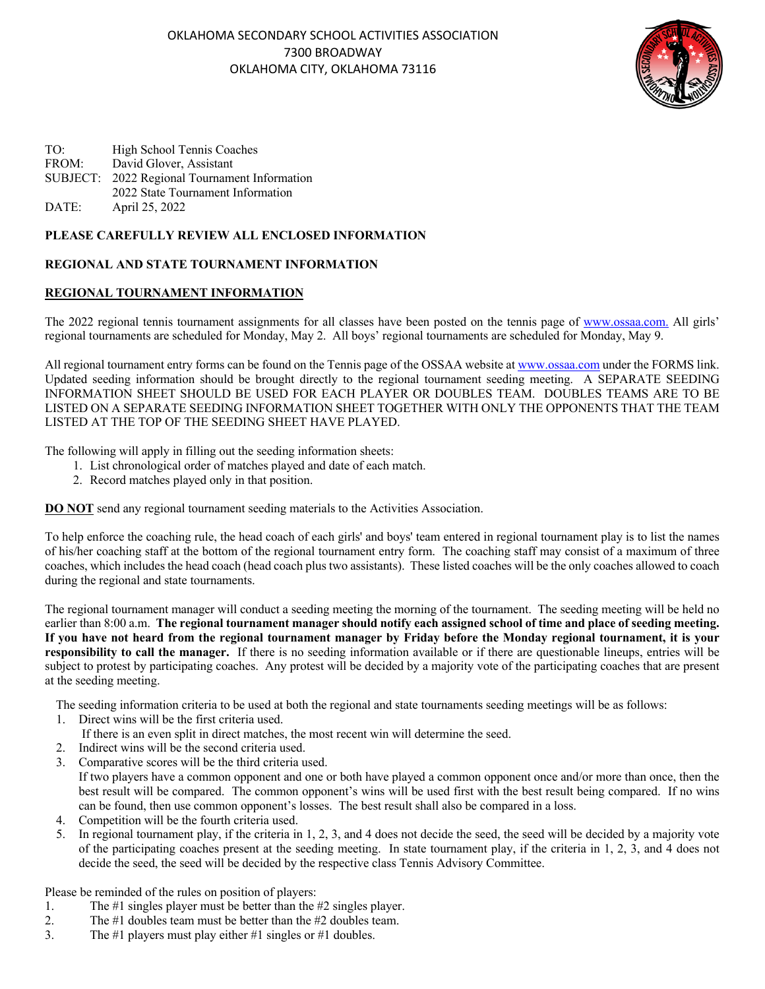

| TO:   | High School Tennis Coaches                    |
|-------|-----------------------------------------------|
| FROM: | David Glover, Assistant                       |
|       | SUBJECT: 2022 Regional Tournament Information |
|       | 2022 State Tournament Information             |
| DATE: | April 25, 2022                                |

## **PLEASE CAREFULLY REVIEW ALL ENCLOSED INFORMATION**

## **REGIONAL AND STATE TOURNAMENT INFORMATION**

## **REGIONAL TOURNAMENT INFORMATION**

The 2022 regional tennis tournament assignments for all classes have been posted on the tennis page of www.ossaa.com. All girls' regional tournaments are scheduled for Monday, May 2. All boys' regional tournaments are scheduled for Monday, May 9.

All regional tournament entry forms can be found on the Tennis page of the OSSAA website at www.ossaa.com under the FORMS link. Updated seeding information should be brought directly to the regional tournament seeding meeting. A SEPARATE SEEDING INFORMATION SHEET SHOULD BE USED FOR EACH PLAYER OR DOUBLES TEAM. DOUBLES TEAMS ARE TO BE LISTED ON A SEPARATE SEEDING INFORMATION SHEET TOGETHER WITH ONLY THE OPPONENTS THAT THE TEAM LISTED AT THE TOP OF THE SEEDING SHEET HAVE PLAYED.

The following will apply in filling out the seeding information sheets:

- 1. List chronological order of matches played and date of each match.
- 2. Record matches played only in that position.

**DO NOT** send any regional tournament seeding materials to the Activities Association.

To help enforce the coaching rule, the head coach of each girls' and boys' team entered in regional tournament play is to list the names of his/her coaching staff at the bottom of the regional tournament entry form. The coaching staff may consist of a maximum of three coaches, which includes the head coach (head coach plus two assistants). These listed coaches will be the only coaches allowed to coach during the regional and state tournaments.

The regional tournament manager will conduct a seeding meeting the morning of the tournament. The seeding meeting will be held no earlier than 8:00 a.m. **The regional tournament manager should notify each assigned school of time and place of seeding meeting. If you have not heard from the regional tournament manager by Friday before the Monday regional tournament, it is your responsibility to call the manager.** If there is no seeding information available or if there are questionable lineups, entries will be subject to protest by participating coaches. Any protest will be decided by a majority vote of the participating coaches that are present at the seeding meeting.

The seeding information criteria to be used at both the regional and state tournaments seeding meetings will be as follows:

- 1. Direct wins will be the first criteria used.
	- If there is an even split in direct matches, the most recent win will determine the seed.
- 2. Indirect wins will be the second criteria used.
- 3. Comparative scores will be the third criteria used. If two players have a common opponent and one or both have played a common opponent once and/or more than once, then the best result will be compared. The common opponent's wins will be used first with the best result being compared. If no wins can be found, then use common opponent's losses. The best result shall also be compared in a loss.
- 4. Competition will be the fourth criteria used.
- 5. In regional tournament play, if the criteria in 1, 2, 3, and 4 does not decide the seed, the seed will be decided by a majority vote of the participating coaches present at the seeding meeting. In state tournament play, if the criteria in 1, 2, 3, and 4 does not decide the seed, the seed will be decided by the respective class Tennis Advisory Committee.

Please be reminded of the rules on position of players:

- 1. The #1 singles player must be better than the #2 singles player.
- 2. The #1 doubles team must be better than the #2 doubles team.
- 3. The #1 players must play either #1 singles or #1 doubles.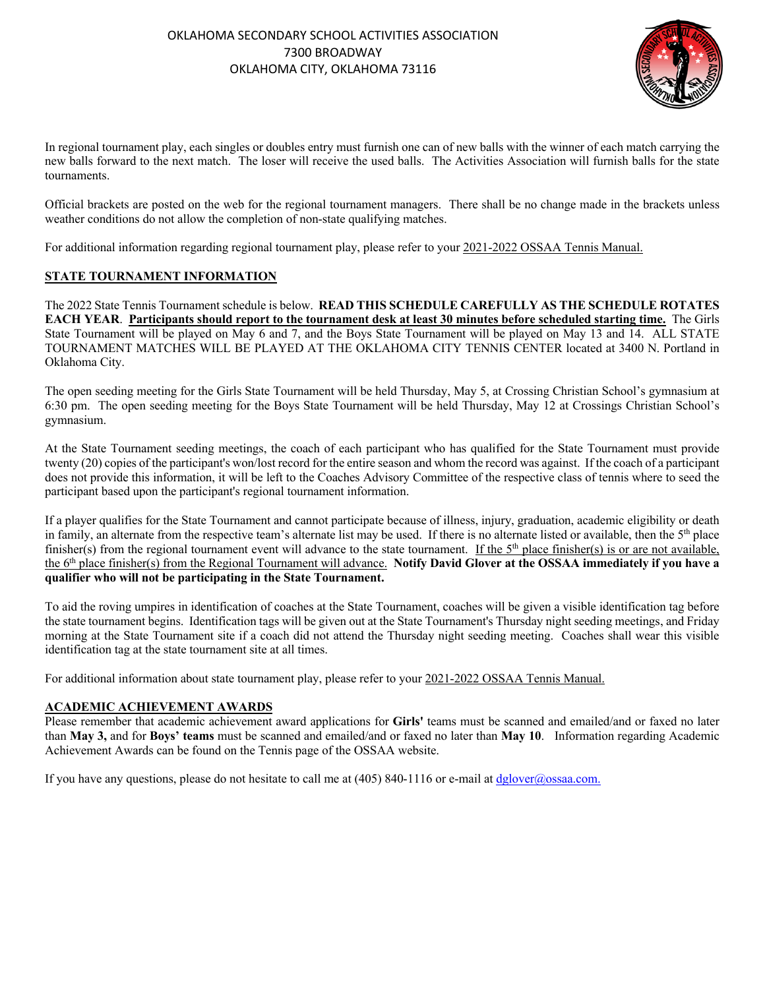

In regional tournament play, each singles or doubles entry must furnish one can of new balls with the winner of each match carrying the new balls forward to the next match. The loser will receive the used balls. The Activities Association will furnish balls for the state tournaments.

Official brackets are posted on the web for the regional tournament managers. There shall be no change made in the brackets unless weather conditions do not allow the completion of non-state qualifying matches.

For additional information regarding regional tournament play, please refer to your 2021-2022 OSSAA Tennis Manual.

# **STATE TOURNAMENT INFORMATION**

The 2022 State Tennis Tournament schedule is below. **READ THIS SCHEDULE CAREFULLY AS THE SCHEDULE ROTATES EACH YEAR**. **Participants should report to the tournament desk at least 30 minutes before scheduled starting time.** The Girls State Tournament will be played on May 6 and 7, and the Boys State Tournament will be played on May 13 and 14. ALL STATE TOURNAMENT MATCHES WILL BE PLAYED AT THE OKLAHOMA CITY TENNIS CENTER located at 3400 N. Portland in Oklahoma City.

The open seeding meeting for the Girls State Tournament will be held Thursday, May 5, at Crossing Christian School's gymnasium at 6:30 pm. The open seeding meeting for the Boys State Tournament will be held Thursday, May 12 at Crossings Christian School's gymnasium.

At the State Tournament seeding meetings, the coach of each participant who has qualified for the State Tournament must provide twenty (20) copies of the participant's won/lost record for the entire season and whom the record was against. If the coach of a participant does not provide this information, it will be left to the Coaches Advisory Committee of the respective class of tennis where to seed the participant based upon the participant's regional tournament information.

If a player qualifies for the State Tournament and cannot participate because of illness, injury, graduation, academic eligibility or death in family, an alternate from the respective team's alternate list may be used. If there is no alternate listed or available, then the  $5<sup>th</sup>$  place finisher(s) from the regional tournament event will advance to the state tournament. If the  $5<sup>th</sup>$  place finisher(s) is or are not available, the 6th place finisher(s) from the Regional Tournament will advance. **Notify David Glover at the OSSAA immediately if you have a qualifier who will not be participating in the State Tournament.**

To aid the roving umpires in identification of coaches at the State Tournament, coaches will be given a visible identification tag before the state tournament begins. Identification tags will be given out at the State Tournament's Thursday night seeding meetings, and Friday morning at the State Tournament site if a coach did not attend the Thursday night seeding meeting. Coaches shall wear this visible identification tag at the state tournament site at all times.

For additional information about state tournament play, please refer to your 2021-2022 OSSAA Tennis Manual.

# **ACADEMIC ACHIEVEMENT AWARDS**

Please remember that academic achievement award applications for **Girls'** teams must be scanned and emailed/and or faxed no later than **May 3,** and for **Boys' teams** must be scanned and emailed/and or faxed no later than **May 10**. Information regarding Academic Achievement Awards can be found on the Tennis page of the OSSAA website.

If you have any questions, please do not hesitate to call me at  $(405)$  840-1116 or e-mail at dglover@ossaa.com.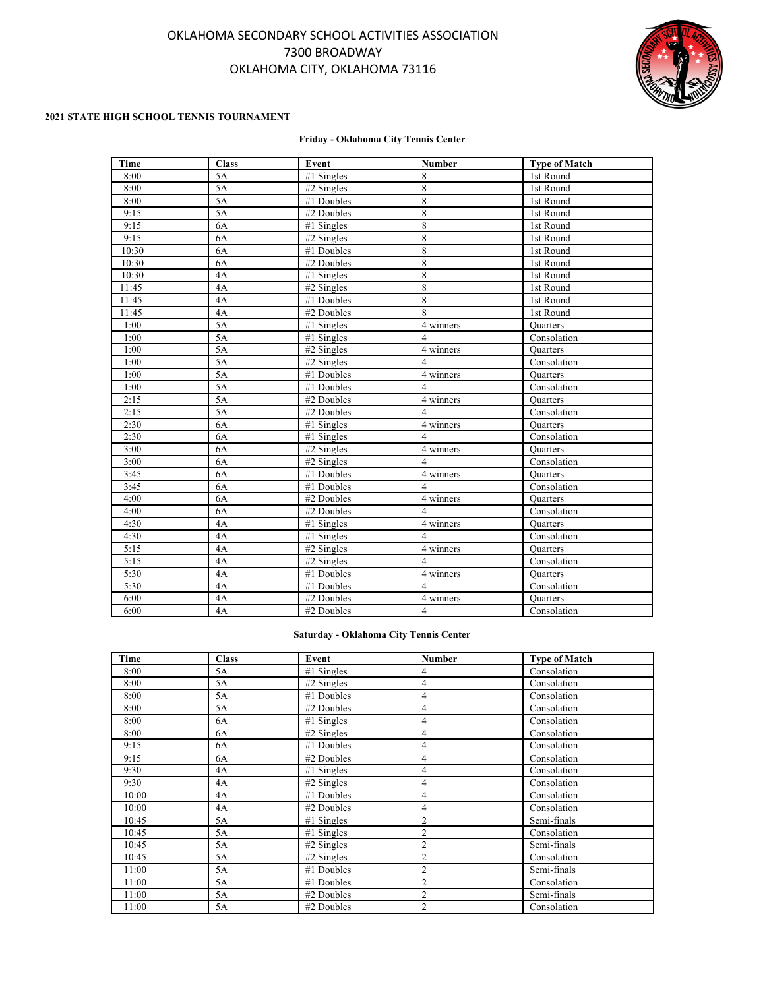# OKLAHOMA SECONDARY SCHOOL ACTIVITIES ASSOCIATION 7300 BROADWAY OKLAHOMA CITY, OKLAHOMA 73116



#### **2021 STATE HIGH SCHOOL TENNIS TOURNAMENT**

#### **Friday - Oklahoma City Tennis Center**

| Time  | <b>Class</b> | Event        | Number         | <b>Type of Match</b> |
|-------|--------------|--------------|----------------|----------------------|
| 8:00  | 5A           | #1 Singles   | 8              | 1st Round            |
| 8:00  | 5A           | #2 Singles   | 8              | 1st Round            |
| 8:00  | 5A           | #1 Doubles   | 8              | 1st Round            |
| 9:15  | 5A           | #2 Doubles   | 8              | 1st Round            |
| 9:15  | 6A           | $#1$ Singles | 8              | 1st Round            |
| 9:15  | 6A           | #2 Singles   | 8              | 1st Round            |
| 10:30 | 6A           | #1 Doubles   | 8              | 1st Round            |
| 10:30 | 6A           | #2 Doubles   | 8              | 1st Round            |
| 10:30 | 4A           | $#1$ Singles | 8              | 1st Round            |
| 11:45 | 4A           | #2 Singles   | 8              | 1st Round            |
| 11:45 | 4A           | #1 Doubles   | 8              | 1st Round            |
| 11:45 | 4A           | #2 Doubles   | 8              | 1st Round            |
| 1:00  | 5A           | #1 Singles   | 4 winners      | <b>Quarters</b>      |
| 1:00  | 5A           | #1 Singles   | $\overline{4}$ | Consolation          |
| 1:00  | 5A           | $#2$ Singles | 4 winners      | <b>Quarters</b>      |
| 1:00  | 5A           | #2 Singles   | $\overline{4}$ | Consolation          |
| 1:00  | 5A           | #1 Doubles   | 4 winners      | Quarters             |
| 1:00  | 5A           | #1 Doubles   | $\overline{4}$ | Consolation          |
| 2:15  | 5A           | #2 Doubles   | 4 winners      | Quarters             |
| 2:15  | 5A           | #2 Doubles   | $\overline{4}$ | Consolation          |
| 2:30  | 6A           | $#1$ Singles | 4 winners      | <b>Quarters</b>      |
| 2:30  | 6A           | #1 Singles   | $\overline{4}$ | Consolation          |
| 3:00  | 6A           | #2 Singles   | 4 winners      | Quarters             |
| 3:00  | 6A           | #2 Singles   | $\overline{4}$ | Consolation          |
| 3:45  | 6A           | #1 Doubles   | 4 winners      | Quarters             |
| 3:45  | 6A           | #1 Doubles   | 4              | Consolation          |
| 4:00  | 6A           | #2 Doubles   | 4 winners      | <b>Quarters</b>      |
| 4:00  | 6A           | #2 Doubles   | 4              | Consolation          |
| 4:30  | 4A           | #1 Singles   | 4 winners      | <b>Quarters</b>      |
| 4:30  | 4A           | $#1$ Singles | 4              | Consolation          |
| 5:15  | 4A           | $#2$ Singles | 4 winners      | <b>Quarters</b>      |
| 5:15  | 4A           | #2 Singles   | $\overline{4}$ | Consolation          |
| 5:30  | 4A           | #1 Doubles   | 4 winners      | <b>Quarters</b>      |
| 5:30  | 4A           | #1 Doubles   | $\overline{4}$ | Consolation          |
| 6:00  | 4A           | #2 Doubles   | 4 winners      | Quarters             |
| 6:00  | 4A           | #2 Doubles   | $\overline{4}$ | Consolation          |

### **Saturday - Oklahoma City Tennis Center**

| Time  | <b>Class</b> | Event        | <b>Number</b>  | <b>Type of Match</b> |
|-------|--------------|--------------|----------------|----------------------|
| 8:00  | 5A           | #1 Singles   | 4              | Consolation          |
| 8:00  | 5A           | $#2$ Singles | 4              | Consolation          |
| 8:00  | 5A           | #1 Doubles   | $\overline{4}$ | Consolation          |
| 8:00  | 5A           | #2 Doubles   | 4              | Consolation          |
| 8:00  | 6A           | $#1$ Singles | 4              | Consolation          |
| 8:00  | 6A           | $#2$ Singles | 4              | Consolation          |
| 9:15  | 6A           | #1 Doubles   | 4              | Consolation          |
| 9:15  | 6A           | #2 Doubles   | 4              | Consolation          |
| 9:30  | 4A           | $#1$ Singles | 4              | Consolation          |
| 9:30  | 4A           | $#2$ Singles | 4              | Consolation          |
| 10:00 | 4A           | #1 Doubles   | 4              | Consolation          |
| 10:00 | 4A           | #2 Doubles   | 4              | Consolation          |
| 10:45 | 5A           | $#1$ Singles | $\overline{2}$ | Semi-finals          |
| 10:45 | 5A           | #1 Singles   | $\overline{2}$ | Consolation          |
| 10:45 | 5A           | $#2$ Singles | $\overline{2}$ | Semi-finals          |
| 10:45 | 5A           | $#2$ Singles | $\overline{2}$ | Consolation          |
| 11:00 | 5A           | #1 Doubles   | $\overline{2}$ | Semi-finals          |
| 11:00 | 5A           | #1 Doubles   | 2              | Consolation          |
| 11:00 | 5A           | #2 Doubles   | 2              | Semi-finals          |
| 11:00 | 5A           | #2 Doubles   | $\mathfrak{2}$ | Consolation          |